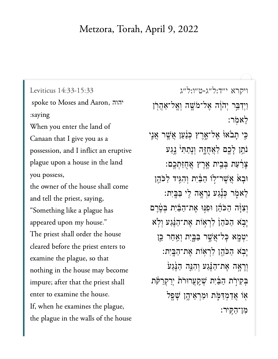## Metzora, Torah, April 9, 2022

Leviticus 14:33-15:33  $\frac{1}{\sqrt{2}}$ יהוה  $\mathcal{L}$  you enter the land of the land of the land of the land of the land of the land of the land of the land of the land of the land of the land of the land of the land of the land of the land of the land of the land o canaan that I give you as a give you as a give you as a give you as a give you as a give you as a give you as <br>That I give you as a give you as a give you as a give you as a give you as a give you as a give you as a give Canaan that I give you as a possession, and I inflict an eruptive plague upon a house in the land  $\frac{1}{\sqrt{2}}$ you possess,<br>the owner of the house shall come and tell the priest, saying, "Something like a plague has appeared upon my house." The priest shall order the house cleared before the priest enters to examine the plague, so that nothing in the house may become impure; after that the priest shall enter to examine the house. If, when he examines the plague, the plague in the walls of the house

[ויקרא י״ד:ל״ג-ט״ו:ל״ג](https://www.sefaria.org/Leviticus%2014:33-15:33) 14:33-15:33 Leviticus וַיִדַבֵּר יִהֹוָ֫ה אֶל־מֹּשֶׁה וְאֱל־אַהֲרֹן :לאמר ָּכִי תָבֹאוּ֫ אֶל־אֱרֶץ כְּנַּעַן אֲשֶׁר אֲנִי ּנֹתֵן לָכֵם לַאֲחָזֶה וְנָתַתִּ<sup>וּ</sup> נֵגַע ָצְרַעַת בְּבֵית אֱרֵץ אֲחֻזַּתִכֵם: וּבָאׂ אֲשֶׁר־לְוֹ הַבַּׂיִת וְהָגִּיִד לַכֹּהֵן ֵלֵאמָׂר כִּנֵֽנַע נִרְאֶה לֵי בַּבֵּיִת: וִצְוָּה הַכֹּהֶן וּפְגִּוּ אֶת־הַבַּ֫יִת בְטֶרֶם יָבְא הַכֹּהֵן לְרִאְוֹת אֶת־הַבְּנַע וְלְא יִטְמָא כָּל־אֲשֶׁר בַּבְּיָת וְאֲחַר כֵּ<del>ן</del> ַיִּבְא הַכֹּהֱן לְרָאָוֹת אֶת־הַבֵּיִת: וְרָאָה אֶת־הַבָּנַע וְהָבֶּה הַבָּנַע בְּקִירָׂת הַבַּ֫יִת שְׁקַעֲרוּרֹת יִרַקְרַקֹּת אוֹ אַדַמְדַמְּת וּמַרְאֵיהֶן שָׁפֶל ִמ ן־ַה ִּֽק יר׃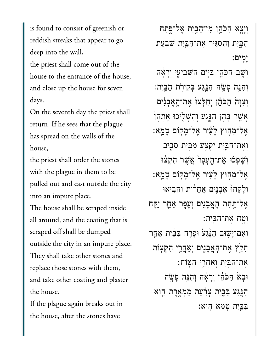is found to consist of greenish or reddish streaks that appear to go deep into the wall, the priest shall come out of the house to the entrance of the house, and close up the house for seven  $\overline{1}$ 

return. If he sees that the plague of the plague of the plague of the plague of the plague of the plague of the plague of the plague of the plague of the plague of the plague of the plague of the plague of the plague of th return. If he sees that the plague has spread on the walls of the  $t$ 

the priest shall order the stones with the plague in them to be pulled out and cast outside the city into an impure place.

The house shall be scraped inside all around, and the coating that is scraped off shall be dumped outside the city in an impure place. They shall take other stones and replace those stones with them,  $\frac{1}{1}$ If the plague again breaks out in

If the plague again breaks out in the house, after the stones have

וִיַצֵא הַכֹּהֱן מִן־הַבֵּיִת אֵל־פֵּתַח ַהַבֶּיִת וְהִסְגִּיר אֶת־הַבֵּיִת שִׁבְעַת ַיִּמֵים: וְשֶׁב הַכֹּהֶן בַּיִּוֹם הַשָּׁבִיעֵי וִרָאֶה וְהָגֵּה פַּשָׂה הַגֵּגַע בִּקִירְת הַבָּיִת: וְצִוָּה הַכֹּהֵן וְחִלְצוּ אֶת־הָאֲבָנִים  $\dag$ אֲשֱר בָּהֵן הַגֲגַע וְהִשָׁלֵיכוּ אֶתְהֵ ָאֲל־מְחָוּץ לַעָּ֫יר אֱל־מַקְוֹם טָמֱא: וְאֶת־הַבֵּיִת יַקְצְעַ מִבְּיִת סָבֶיב וְשָׁפְכֹוּ אֶת־הֱעָפָר אֲשֱר הִקְצֹוּ ָאֲל־מְחָוּץ לַעָּ֫יר אֲל־מַקוֹם טַמֱא: וְלָקְחוּ אֲבָנִים אֲחֵרוֹת וְהֵבְיאוּ אֵל־תַּחַת הָאֲבָנִים וְעַפֵר אַחֱר יַקִּח ַּוְטֶח אֲת־הַבֵּיִת: וְאָם־יָשָׁוּב הַ<sup>נ</sup>ָּגַעֹּ וּפָרַח בַּבַּיִת אַחַר ְהִלֵּץ אֶת־הָאֲבָנִים וְאַחֲרֵי הִקִצְוֹת ָאֶת־הַבֵּיִת וְאַחֲרֵי הִטְּוֹחַ: וּבָאׂ הַכֹּהֵ֫ן וְרָאָ֣ה וְהִגְּ֣ה פָּשֳ֣ה ְהַגֵּנַע בַּבֵּיִת צָרַעַת מַמְאֱרֶת הֶוא ַּבַּנִּיִת ְטָמֵא הִוּא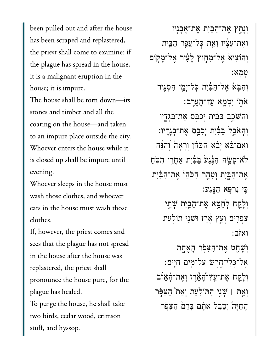been pulled out and after the house has been scraped and replastered, the priest shall come to examine: if the plague has spread in the house, it is a malignant eruption in the house; it is impure.

The house shall be torn down-its stones and timber and all the coating on the house—and taken to an impure place outside the city. Whoever enters the house while it is closed up shall be impure until evening.

Whoever sleeps in the house must wash those clothes, and whoever eats in the house must wash those clothes.

If, however, the priest comes and sees that the plague has not spread in the house after the house was replastered, the priest shall pronounce the house pure, for the plague has healed.

To purge the house, he shall take two birds, cedar wood, crimson stuff, and hyssop.

וְנְתַץ אֶת־הַבַּ֫יִת אֵת־אֲבַנַיוֹ וְאֶת־עֵצָּׂיוּ וְאֵת כְּל<sup>-</sup>עַפַּר הַבֵּיִת וְהוֹצִיאֹ אֱל־מִחְוּץ לְעִׁיר אֱל־מָקְוֹם טמא: וְהַבָּאֹ אֱל־הַבַּ֫יִת כָּל־יְמֵי הִסְגִּיר אֹתֶוֹ יִטְמָא עַד־הָעֲרֶב: וְהַשֹּׁבֵֽב בַּבַּ֫יִת יִכַּבֵּס אֶת־בִּגָדֶיו וְהָאֹכֵל בַּבִּ֫יָת יְכַבֵּס אֱת־בִּגָדֵיו: וְאִם־בֹּאׁ יָבֹא הַכֹּהֵן וְרָאָה וְ֫הִגֲּה לֹא־פָּשָׂה הַגֲּנַעֹּ בַּבָּיִת אַחֲרֵי הִטְּחַ אֶת־הַבִּיִת וְטְהֵר הַכֹּהֶןْ אֶת־הַבִּיִת ּכֵּי נִרְפֵּא הַנֵּגַע׃ וִלָקֵח לְחַמֵּא אֶת־הַבָּיִת שְׁתֵּי צְפֵּרֵים וְעֵץ אֶרֵז וּשָׁנֵי תוֹלֵעַת ואזב: וִשְׁחַט אֶת־הַצִּפֹּר הָאֶחֶת אֶל־כְּלִי־חֱרֵשׂ עַל־מֵיִם חַיֵּים: וְלָקַח אֶת־עֵץ־יُהָאֶٛרֶז וְאֶת־הָאֵזֹב וְאֵת | שָׁנֵי הַתּוֹלַעַת וְאֵת<sup>ּ</sup> הַצִּפִּר הַחַיָּה וְטַבֵל אֹתָם בְּדָם הַצִּפִּר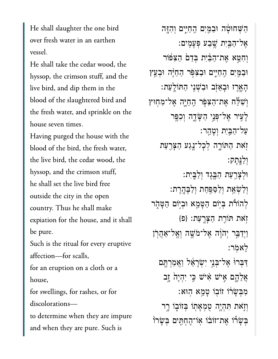He shall slaughter the one bird over fresh water in an earthen vessel.

He shall take the cedar wood, the hyssop, the crimson stuff, and the live bird, and dip them in the blood of the slaughtered bird and the fresh water, and sprinkle on the house seven times.

Having purged the house with the blood of the bird, the fresh water, the live bird, the cedar wood, the hyssop, and the crimson stuff, he shall set the live bird free outside the city in the open country. Thus he shall make expiation for the house, and it shall be pure.

Such is the ritual for every eruptive affection-for scalls,

for an eruption on a cloth or a house.

for swellings, for rashes, or for discolorations-

to determine when they are impure and when they are pure. Such is

הַשָּׁחוּטָׂה וּבַמֵּיִם הַחַיֵּים וְהָזַּה אֵל־הַבֵּיִת שֵׁבַע פִּעֲמֵים: וְחָטֵא אֵת־הַבָּ֫יָת בְּדָם הַצְפּוֹר וּבִמַּיִם הַחַיִּים וּבַצִּפִּר הַחַיָּה וּבְעֵץ הַאֱרֵז וּבָאֵזְב וּבִשְׁנֵי הַתּוֹלֵעַת: וְשָׁלַּח אֶת־הַצִּפָּר הַחַיֶּה אֶל־מִחְוּץ לַעֵּיר אֲל־פָּנֵי הָשָׂדֵה וְכִפֵּר עַל־הַבַּיִת וְטַהֵר: זְאת הַתּוֹרֶה לְכָל־נֵגַע הַצָּרְעַת וִלַּנְּתַק: וּלִצָּרֵעַת הַבֵּגֶד וְלַבְּיִת: וִלַשְׁאֵת וְלַסַּפְּחַת וְלַבֶּהֶרֶת: לְהוֹרֶת בִּיְוֹם הַטָּמֵא וּבִיִּוֹם הַטָּהָר זְאת תּוֹרֵת הַצָּרְעַת: {פ וַיִּדַבֵּר יִהֹוָה אֱל־מֹשֵׁה וְאֱל־אַהֲרְן לאמר: דַּבְרוֹּ אֱל־בָּנֵי יִשְׂרָאֵל וַאֲמַרְתֵּם אֲלֶהֱם אֵישׁ אִישׁ כִּי יְהָיֵהֹ זָב מִבְשַׂרוֹ זוֹבְוֹ טַמֱא הִוּא: וְזָאת תִּהְיֵה טָמְאָתְוֹ בִּזוֹבְוֹ רֵר בִּשַׂרוֹ אֵת־זוֹבוֹ אַוֹ־הֶחָתֵּים בִּשָׂרוֹ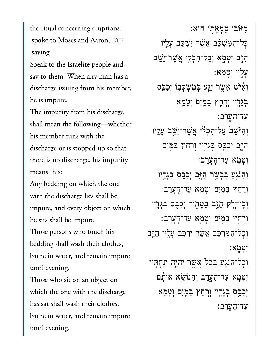the ritual concerning eruptions.  $\frac{1}{\sqrt{2}}$ יהוה Speak to the Israelite people and

Speak to the Israelite people and say to them: When any man has a discharge issuing from his member, he is impure.

The impurity from his discharge  $\frac{1}{1}$  member runs with the set of  $\frac{1}{1}$  cm  $\frac{1}{1}$  cm  $\frac{1}{1}$  cm  $\frac{1}{1}$ his member runs with the  $t \cdot 1$  is no discharge, his impurity  $t \cdot 1$  in the impurity  $t \cdot 1$  in the impurity  $t \cdot 1$ there is no discharge, his impurity means this:

Any bedding on which the one with the discharge lies shall be impure, and every object on which he sits shall be impure. Those persons who touch his

bedding shall wash their clothes,  $\begin{array}{ccc} & & \circ \\ & & \circ \\ & & \circ \end{array}$ until evening.  $T$  is on an object on an object on an object on an object on an object on  $T$ 

Those who sit on an object on which the one with the discharge has sat shall wash their clothes, bathe in water, and remain impure until evening.

ִמ ּזֹו֔ב ֹו ֻט ְמ ָא ֖ת ֹו ִֽה וא׃ ּכָּל־הַמִּשְׁכָּ֫ב אֲשֶׁר יִּשְׁכֵּֽב עָלֵיו ַּהַגָּב יִטְמָא וְכֵל־הַכְּלֵי אֲשֶׁר־יֵּשֵׁב :עַלֵיו יִטְמֵא וַאִ*ּיֹש אֲשֵׁר יִגַּע בְּמִ*שְׁכָּבֶו יְכַבֵֶּס ַבְּגְדֶיו וְרָחַץ ּבַּמֵיִם וִטָּמֵא ַעֲד־הָעֲרֵֽב: ֿוְהַ יֹּשֵׁבׂ עֲלִ־הַכְּלִי אֲשֶׁר־יֵּשֵֽׁב עָֽלֶיו ּהַזֶּב יִכַּבֵָּס בְּגָדֱיו וְרָחָץ בַּמֵּיִם ַּוְטַמֵּא עַד־הָעֲרֵב: וְהַנֹּגֵעַ בִּבְשָׂר הַזָּב יִכַּבֵֵּס בְּגָדֵיו ַּוְרַחֵץ בַּמֵּיִם וְטָמֱא עַד־הָעֲרֵב: וְכִי־יָרְק הַזֶּב בַּטָּהְוֹר וְכִבֵּס בְּגַדֵיו ּוְרָחַץ בַּמַּיִם וְטָמֵא עַד־הָעֲרֵב: וְכָל־הַמֶּרְכָּ֫ב אֲשֶׁר יִרְכֵּב עָלֵיו הַזֶּב ִיְט ָֽמ א׃ וְכָל־הַנּגֵעַ בִּכֹל אֲשֱר יִהְיֶה תַחִתְּיו ִיטְמֶא עַד־הָעֱרֶב וְהַנּוֹּשֵׂא אוֹתָם ַיְכַבֵֵּּם בְּגָדֵיו וְרָחַץ בַּמֲיִם וְטָמֵא ַעֲד־הָעֲרֻב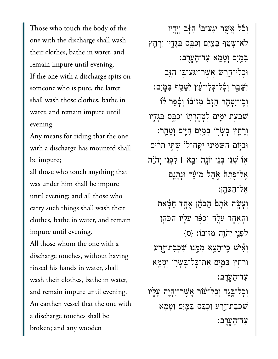Those who touch the body of the one with the discharge shall wash their clothes, bathe in water, and remain impure until evening. If the one with a discharge spits on someone who is pure, the latter shall wash those clothes, bathe in water, and remain impure until  $\mathcal{A}$  and the one-the one-the one-the one-the one-the one-the one-the one-the one-the one-the one-the one-the one-the-one-the-one-the-one-the-one-the-one-the-one-the-one-the-one-the-one-the-one-the-one-the-one-the-one-

Any means for riding that the one with a discharge has mounted shall  $\begin{array}{ccc} \n\frac{1}{\sqrt{1-\frac{1}{\sqrt{1-\frac{1}{\sqrt{1-\frac{1}{\sqrt{1-\frac{1}{\sqrt{1-\frac{1}{\sqrt{1-\frac{1}{\sqrt{1-\frac{1}{\sqrt{1-\frac{1}{\sqrt{1-\frac{1}{\sqrt{1-\frac{1}{\sqrt{1-\frac{1}{\sqrt{1-\frac{1}{\sqrt{1-\frac{1}{\sqrt{1-\frac{1}{\sqrt{1-\frac{1}{\sqrt{1-\frac{1}{\sqrt{1-\frac{1}{\sqrt{1-\frac{1}{\sqrt{1-\frac{1}{\sqrt{1-\frac{1}{\sqrt{1-\frac{1}{\sqrt{1-\frac{1}{\sqrt{1-\frac{1$ be impure;<br>all those who touch anything that

was under him shall be impure until evening; and all those who carry such things shall wash their clothes, bathe in water, and remain impure until evening. All those whom the one with a discharge touches, without having rinsed his hands in water, shall wash their clothes, bathe in water, and remain impure until evening. An earthen vessel that the one with a discharge touches shall be broken; and any wooden

וְכֹל אֲשֱר יִגַּע־בּוֹ הַזָּב וְיָדֵיו לֹא־שָׁטֵף בַּמֲיָם וִכְבֵּם בְּגָדֵיו וְרָחַץ ַּבְּמֵיִם וְטָמֱא עַד־הָעֲרֵב: ּוּכִלְי־חֱרֵשׂ אֲשֶׁר־יִגַּע־בִּוֹ הַזֶּב יִּשָּׁבֵר וְכָ֫ל־כִּלְי־עֵ֫ץ יִשָּׁטֵֽף בַּמֵּיִם: וְכֵי־יִטְהֵר הַזַּבׂ מְזוֹבוֹ וְסָפָר לֹוֹ ֹשְׁבְעַת יָמֵים לְטָהֶרָתְוֹ וְכָבֵֵּּם בְּגָדֵיו וְרָחָץ בְּשָׂרֶוֹ בִּמְיִם חַיֵּים וְטָהֵר: וּבִיּֽוֹם הַשָּׁמִינִי י<u>ִק</u>ח־לוֹ שָׁתֵּי תֹרִים אָוֹ שְׁנֵי בְּנֵי יֹוֹנָה וּבָא | לִפְנֵי יִהֹוַֹּה אֲל־פָּׂתַח אָהֶל מוֹעֵד וּנְתַנֵם ֶא ל־ַה ֹּכ ֵֽה ן׃ וְעָשָׂה אֹתָם הַכֹּהֶן אֶחֶד חַטָּאת וְהָאֵחֶד עֹלֵה וְכִפֵּר עָלֵיו הַכֹּהֱן ּלְפְנֵי יְהֹוֶה מִזּוֹּבוֹ: {ס} וָאִיֹּשׁ כֵּי־תֵצֵא מִמֵּנּוּ שִׁכִבַת־<u>זָר</u>ע וְרַחֵץ בַּמֵּיִם אֵת־כָּל־בִּשָׂרְוֹ וְטָמֵא ַעַר־הָעֲרֶב: וְכָל־בֶּגֶד וְכָל־עֹוֹר אֲשֶׁר־יִהָיֵה עָלֵ<sup>י</sup>יו שִׁכְבַת־זֶרַע וִכְבַּם בַּמֵּיִם וִטָּמֵא :ערב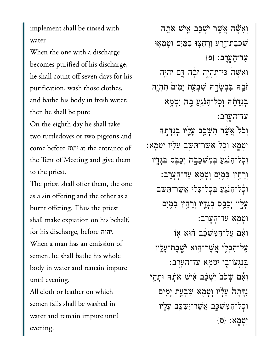implement shall be rinsed with  $\mathbf{L}$ 

When the one with a discharge becomes purified of his discharge, purification, was held to be  $\frac{1}{2}$ purification, wash those clothes, and bathe his body in fresh water; then he shall be pure.

On the eighth day he shall take two turtledoves or two pigeons and  $\begin{bmatrix} 1 & 0 \\ 0 & 1 \end{bmatrix}$ the Tent of Meeting and give them יהוה to the priest.

The priest shall offer them, the on<br>as a sin offering and the other as a as a sin offering and the other as a burnt offering. Thus the priest for his discharge, before יהוה. for his discharge, before . $\tau$ הוה.  $\sum_{i=1}^{n}$ semen, he shall bathe his whole body in water and remain impure until evening. All cloth or leather on which semen falls shall be washed in water and remain impure until evening.

וְאִשָּׁה אֲשֶׁר יִשְׁכַּב אֱישׁ אֹתָהּ שִׁכְבַת־זֶרַע וְרָחֲצִוּ בַמַּ֫יִם וִטָּמְאִוּ ַעד־ָהָֽעֶרב׃ }פ{ וְאִשָּׁה כִּי־תְהָיֶה זָבָ<sup>ׂבָ</sup>ה דֶּם יִהְיֶה ֹזָ֖בּה ִּבְבָׂשָ֑רּה ִׁשְבַ֤עת ָיִמי֙ם ִּתְהֶ֣יה ּבְנִדְּתָ֫הּ וְכָל־הַבּּגֵעַ בֵּהּ יְטָמֵא ַעד־ָהָֽעֶרב׃ וְכֹל אֲשֶׁר תִּשְׁכָּב עָלֶיו בְּנִדְּהָה ִיְטָ֑מא ְוֹ֛כל ֲאֶׁשר־ֵּתֵׁ֥שב ָעָ֖ליו ִיְטָֽמא׃ וִכַל־הַנֹּגֵעַ בִּמְ*ֹ*שִׁכָּבָהּ יִכַּבֵֵּּם בְּגָדֶיו ְוָרַ֥חץ ַּבַּ֖מִים ְוָטֵ֥מא ַעד־ָהָֽעֶרב׃ וְכָ֫ל־הָנּגֵעַ בְּכָל־כָלֵי אֲשֶׁר־תֵּשֵׁב ַעֲלֵיו יִכַּבֵּם בְּגָדֵיו וְרָחָץ בַּמֵּיִם ְוָטֵ֥מא ַעד־ָהָֽעֶרב׃ וְאָם עֲל־הַמְּשָׁכָּב הוֹא אָוֹ ַעֲל־הַכְּלֵי אֲשֶׁר־הֶוא יֹּשֱבֵת־עָלָיו ּבְּנָגְעֹוֹ־בִוֹ יְטָמָא עַד־הָעֲרֵב: וְאָׁם שָׁכֹב<sup>ּ</sup> יִשְׁכַּב אִישׁ אֹתָה וּתְהֶי ּנִדָּתָה<sup>ְּ</sup> עָלָיו וִטָּמֵא שִׁבְעַת יָמֶים וִכַל־הַמְּשָׁכֵּב אֲשֶׁר־יִ**שְׁכַּב עָל**ָיו ִיְטָֽמא׃ }ס{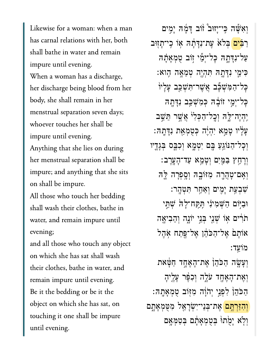Likewise for a woman: when a man has carnal relations with her, both shall bathe in water and remain impure until evening. When a woman has a discharge,  $\begin{bmatrix} 1 & 1 \\ 1 & 1 \end{bmatrix}$  in here she shows that  $\begin{bmatrix} 1 & 1 \\ 1 & 1 \end{bmatrix}$ body, she shall remain in her menstrual separation seven days; whoever touches her shall be impure until evening. Anything that she lies on during

her menstrual separation shall be impure; and anything that she sits on shall be impure.

All those who touch her bedding shall wash their clothes, bathe in water, and remain impure until and all those who touch any object any object any object  $\mathbf{r}$ 

and all those who touch any object on which she has sat shall wash their clothes, bathe in water, and remain impure until evening. Be it the bedding or be it the object on which she has sat, on touching it one shall be impure until evening.

וְאִשָּׁה כֵּי־יָזוּב<sup>ּ</sup> זוֹב דָּמָה יָמֵים רַ<mark>ּבִּים</mark> בִּלֹאַ עֲת־נְדָּתָה אָו כֵי־תַזְוּּב ּעַל־נִדְּתֶהּ כָּל־יִמֶּי זִוֹּב טָמְאָתָה ַּכִּימֵי נִדָּתָהּ תִּהְיֵה טְמֵאָה הֵוא: ּכָּל־הַמְּשָׁבָּב אֲשֶׁר־תְּשָׁכֵּב עָלְיוֹ כָּל־יְמֵי זוֹבָ**֫ה כִּמְשִׁכֵּ֑ב נִדְּתָ**הּ יֶהִיֵּה־לֵּה וְכֵל־הַכִּלִ<sup>וּ</sup> אֲשֵׁר הֵּשֵׁב ִיּעֲלָיו טָמֱא יִהְיֶה כְּטֻמְאַת וִדָּתַהּ וְכָל־הַנּוֹגֵעַ בֶּם יִטְמָא וִכְבֵּס בִּגָדֵיו ַּוְרַחֵץ בַּמֵּיִם וְטָמֱא עַד־הָעֲרֵב: וְאָם־טָהֲרֶה מִזּוֹבָהּ וְסֵפְרַה לֵּהּ ְּשָׁבְעַת יָמֶים וְאַחֲר תְּטָהֶר: וּבִיּוֹם הַשָּׁמִינִי הַקַּח־לַה שָׁתֵּי ֿתֹרִים אָוֹ שָׁנֵי בְּנֵי יוֹנָה וְהֵבִיאֶה אוֹתָם אֱל־הַכֹּהֶן אֱל־פֵּתַח אָהֶל :מוֹעד וְעָשֶׂה הַכֹּהֵן אֶת־הָאֶחֶד חַטָּ֫את וְאֶת־הָאֶחֱד עֹלֱה וְכִפֶּ֫ר עָלֶיהָ

ַהֲכֹּהֵן לְפָּנֵי יְהֹוָ֫ה מִזְּוֹב טָמְאָתָהּ׃ <mark>ֿוְהִזַּרְתֵּם</mark> אֵת־בְּנֵי־יִשְׂרָאֵל מִטֻּמְאָתֶם וִלְא יָמָׂתוּ בִטְמְאָתָׁם בִטְמְאֶם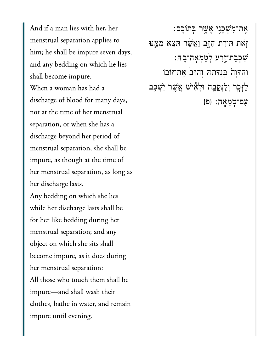And if a man lies with her, her menstrual separation applies to him; he shall be impure seven days, and any bedding on which he lies shall become impure. When a woman has had a discharge of blood for many days, not at the time of her menstrual separation, or when she has a discharge beyond her period of menstrual separation, she shall be impure, as though at the time of her menstrual separation, as long as her discharge lasts.

Any bedding on which she lies while her discharge lasts shall be for her like bedding during her menstrual separation; and any object on which she sits shall become impure, as it does during her menstrual separation: All those who touch them shall be impure—and shall wash their clothes, bathe in water, and remain impure until evening.

אֶת־מִשְׁכָּנֶי אֲשֶׁר בְּתוֹכְם: זָאת תּוֹרָת הַזֶּב וַאֲשֶׁר תֵּצֵא מִמֶּנּוּ ゙゙゙゙゙゙゙:שִׁכְבַת־זֶרַע לְטְמְאָה־בָהΩ וְהַדְּוָהֹ בְּנִדְּתָה וְהַדָּבֹ אֶת־זוֹבֹוֹ לַזָּבֶר וְלַנְּקֵבֶה וּלְאִיֹּשׁ אֲשֶׁר יִשְׁבַּב עִם־טְמֱאֲה: {פ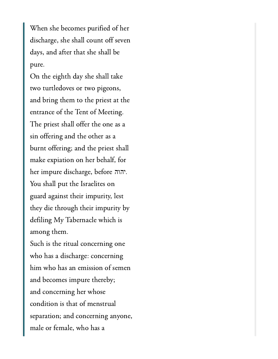When she becomes purified of her discharge, she shall count off seven days, and after that she shall be On the eighth day she shall take

On the eighth day she shall take two turtledoves or two pigeons, entrance of  $\overline{1}$ entrance of the Tent of Meeting. The priest shall offer the one as a sin offering and the other as a  $\begin{bmatrix} 1 & 0 & 0 \\ 0 & 0 & 0 \\ 0 & 0 & 0 \\ 0 & 0 & 0 \\ 0 & 0 & 0 \\ 0 & 0 & 0 \\ 0 & 0 & 0 \\ 0 & 0 & 0 \\ 0 & 0 & 0 \\ 0 & 0 & 0 \\ 0 & 0 & 0 \\ 0 & 0 & 0 \\ 0 & 0 & 0 \\ 0 & 0 & 0 \\ 0 & 0 & 0 & 0 \\ 0 & 0 & 0 & 0 \\ 0 & 0 & 0 & 0 \\ 0 & 0 & 0 & 0 \\ 0 & 0 & 0 & 0 \\ 0 & 0 & 0 & 0 \\ 0 & 0 & 0 & 0 & 0 \\$ make expiation on her behalf, for יהוה.  $\begin{array}{ccc} \text{1} & \text{1} & \text{1} & \text{1} & \text{1} & \text{1} & \text{1} & \text{1} & \text{1} & \text{1} & \text{1} & \text{1} & \text{1} & \text{1} & \text{1} & \text{1} & \text{1} & \text{1} & \text{1} & \text{1} & \text{1} & \text{1} & \text{1} & \text{1} & \text{1} & \text{1} & \text{1} & \text{1} & \text{1} & \text{1} & \text{1} & \text{1} & \text{1} & \text{1} & \text{1} & \text{$ You shall put the Israelites on guard against their impurity, lest they die through their impurity by  $\overline{1}$   $\overline{01}$   $\overline{1}$   $\overline{01}$   $\overline{1}$ among them.

Such is the ritual concerning one who has a discharge: concerning him who has an emission of semen and becomes impure thereby; and concerning her whose  $s = \frac{c}{\sqrt{c}}$ separation; and concerning anyone, male or female, who has a